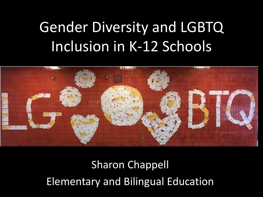## Gender Diversity and LGBTQ Inclusion in K-12 Schools



Sharon Chappell Elementary and Bilingual Education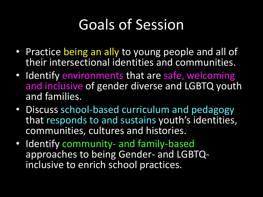#### Goals of Session

- Practice being an ally to young people and all of their intersectional identities and communities.
- Identify environments that are safe, welcoming and inclusive of gender diverse and LGBTQ youth and families.
- Discuss school-based curriculum and pedagogy that responds to and sustains youth's identities, communities, cultures and histories.
- Identify community- and family-based approaches to being Gender- and LGBTQinclusive to enrich school practices.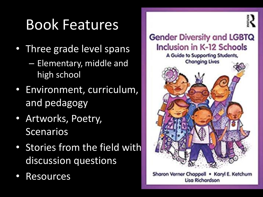#### Book Features

- Three grade level spans
	- Elementary, middle and high school
- Environment, curriculum, and pedagogy
- Artworks, Poetry, Scenarios
- Stories from the field with discussion questions
- **Resources**



Sharon Verner Chappell . Karyl E. Ketchum **Lisa Richardson**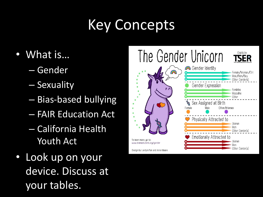### Key Concepts

- What is…
	- Gender
	- Sexuality
	- Bias-based bullying
	- FAIR Education Act
	- California Health Youth Act
- Look up on your device. Discuss at your tables.

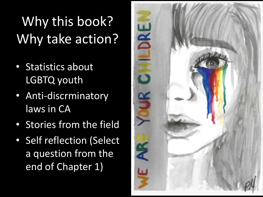## Why this book? Why take action?

- Statistics about LGBTQ youth
- Anti-discrminatory laws in CA
- Stories from the field
- Self reflection (Select a question from the end of Chapter 1)

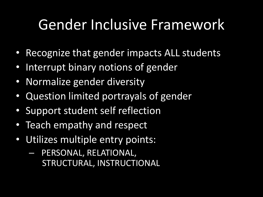#### Gender Inclusive Framework

- Recognize that gender impacts ALL students
- Interrupt binary notions of gender
- Normalize gender diversity
- Question limited portrayals of gender
- Support student self reflection
- Teach empathy and respect
- Utilizes multiple entry points:
	- PERSONAL, RELATIONAL, STRUCTURAL, INSTRUCTIONAL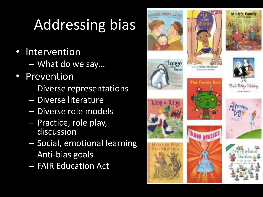# Addressing bias

- **Intervention** 
	- What do we say…
- **Prevention** 
	- Diverse representations
	- Diverse literature
	- Diverse role models
	- Practice, role play, discussion
	- Social, emotional learning
	- Anti-bias goals
	- FAIR Education Act



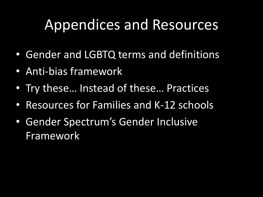#### Appendices and Resources

- Gender and LGBTQ terms and definitions
- Anti-bias framework
- Try these… Instead of these… Practices
- Resources for Families and K-12 schools
- Gender Spectrum's Gender Inclusive Framework